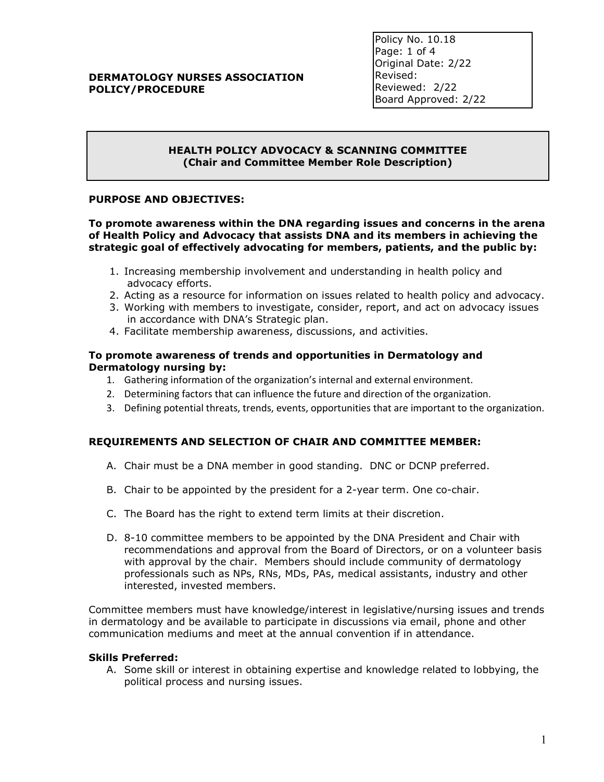## **DERMATOLOGY NURSES ASSOCIATION POLICY/PROCEDURE**

Policy No. 10.18 Page: 1 of 4 Original Date: 2/22 Revised: Reviewed: 2/22 Board Approved: 2/22

## **HEALTH POLICY ADVOCACY & SCANNING COMMITTEE (Chair and Committee Member Role Description)**

### **PURPOSE AND OBJECTIVES:**

**To promote awareness within the DNA regarding issues and concerns in the arena of Health Policy and Advocacy that assists DNA and its members in achieving the strategic goal of effectively advocating for members, patients, and the public by:** 

- 1. Increasing membership involvement and understanding in health policy and advocacy efforts.
- 2. Acting as a resource for information on issues related to health policy and advocacy.
- 3. Working with members to investigate, consider, report, and act on advocacy issues in accordance with DNA's Strategic plan.
- 4. Facilitate membership awareness, discussions, and activities.

### **To promote awareness of trends and opportunities in Dermatology and Dermatology nursing by:**

- 1. Gathering information of the organization's internal and external environment.
- 2. Determining factors that can influence the future and direction of the organization.
- 3. Defining potential threats, trends, events, opportunities that are important to the organization.

# **REQUIREMENTS AND SELECTION OF CHAIR AND COMMITTEE MEMBER:**

- A. Chair must be a DNA member in good standing. DNC or DCNP preferred.
- B. Chair to be appointed by the president for a 2-year term. One co-chair.
- C. The Board has the right to extend term limits at their discretion.
- D. 8-10 committee members to be appointed by the DNA President and Chair with recommendations and approval from the Board of Directors, or on a volunteer basis with approval by the chair. Members should include community of dermatology professionals such as NPs, RNs, MDs, PAs, medical assistants, industry and other interested, invested members.

Committee members must have knowledge/interest in legislative/nursing issues and trends in dermatology and be available to participate in discussions via email, phone and other communication mediums and meet at the annual convention if in attendance.

### **Skills Preferred:**

A. Some skill or interest in obtaining expertise and knowledge related to lobbying, the political process and nursing issues.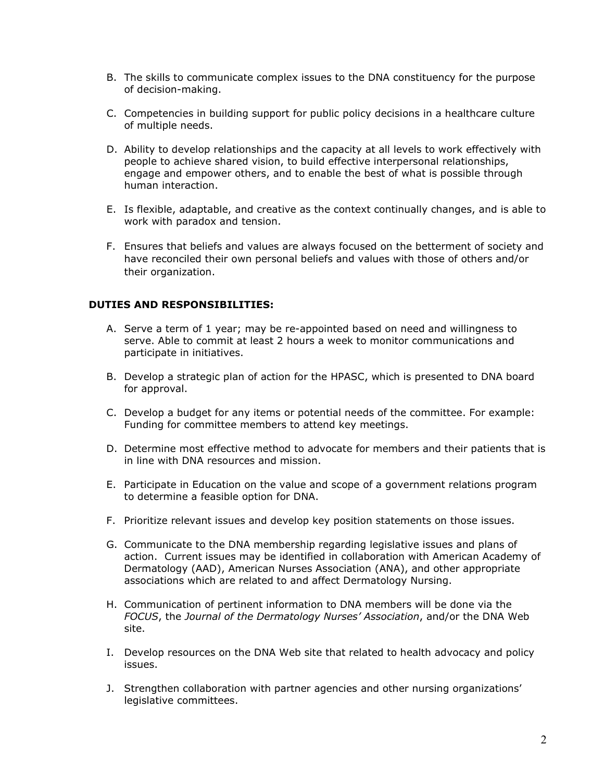- B. The skills to communicate complex issues to the DNA constituency for the purpose of decision-making.
- C. Competencies in building support for public policy decisions in a healthcare culture of multiple needs.
- D. Ability to develop relationships and the capacity at all levels to work effectively with people to achieve shared vision, to build effective interpersonal relationships, engage and empower others, and to enable the best of what is possible through human interaction.
- E. Is flexible, adaptable, and creative as the context continually changes, and is able to work with paradox and tension.
- F. Ensures that beliefs and values are always focused on the betterment of society and have reconciled their own personal beliefs and values with those of others and/or their organization.

## **DUTIES AND RESPONSIBILITIES:**

- A. Serve a term of 1 year; may be re-appointed based on need and willingness to serve. Able to commit at least 2 hours a week to monitor communications and participate in initiatives.
- B. Develop a strategic plan of action for the HPASC, which is presented to DNA board for approval.
- C. Develop a budget for any items or potential needs of the committee. For example: Funding for committee members to attend key meetings.
- D. Determine most effective method to advocate for members and their patients that is in line with DNA resources and mission.
- E. Participate in Education on the value and scope of a government relations program to determine a feasible option for DNA.
- F. Prioritize relevant issues and develop key position statements on those issues.
- G. Communicate to the DNA membership regarding legislative issues and plans of action. Current issues may be identified in collaboration with American Academy of Dermatology (AAD), American Nurses Association (ANA), and other appropriate associations which are related to and affect Dermatology Nursing.
- H. Communication of pertinent information to DNA members will be done via the *FOCUS*, the *Journal of the Dermatology Nurses' Association*, and/or the DNA Web site.
- I. Develop resources on the DNA Web site that related to health advocacy and policy issues.
- J. Strengthen collaboration with partner agencies and other nursing organizations' legislative committees.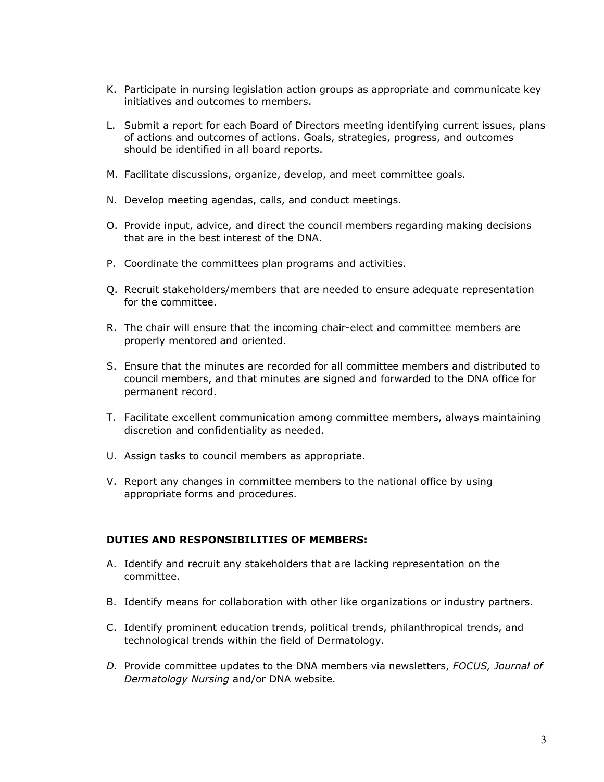- K. Participate in nursing legislation action groups as appropriate and communicate key initiatives and outcomes to members.
- L. Submit a report for each Board of Directors meeting identifying current issues, plans of actions and outcomes of actions. Goals, strategies, progress, and outcomes should be identified in all board reports.
- M. Facilitate discussions, organize, develop, and meet committee goals.
- N. Develop meeting agendas, calls, and conduct meetings.
- O. Provide input, advice, and direct the council members regarding making decisions that are in the best interest of the DNA.
- P. Coordinate the committees plan programs and activities.
- Q. Recruit stakeholders/members that are needed to ensure adequate representation for the committee.
- R. The chair will ensure that the incoming chair-elect and committee members are properly mentored and oriented.
- S. Ensure that the minutes are recorded for all committee members and distributed to council members, and that minutes are signed and forwarded to the DNA office for permanent record.
- T. Facilitate excellent communication among committee members, always maintaining discretion and confidentiality as needed.
- U. Assign tasks to council members as appropriate.
- V. Report any changes in committee members to the national office by using appropriate forms and procedures.

### **DUTIES AND RESPONSIBILITIES OF MEMBERS:**

- A. Identify and recruit any stakeholders that are lacking representation on the committee.
- B. Identify means for collaboration with other like organizations or industry partners.
- C. Identify prominent education trends, political trends, philanthropical trends, and technological trends within the field of Dermatology.
- *D.* Provide committee updates to the DNA members via newsletters, *FOCUS, Journal of Dermatology Nursing* and/or DNA website.